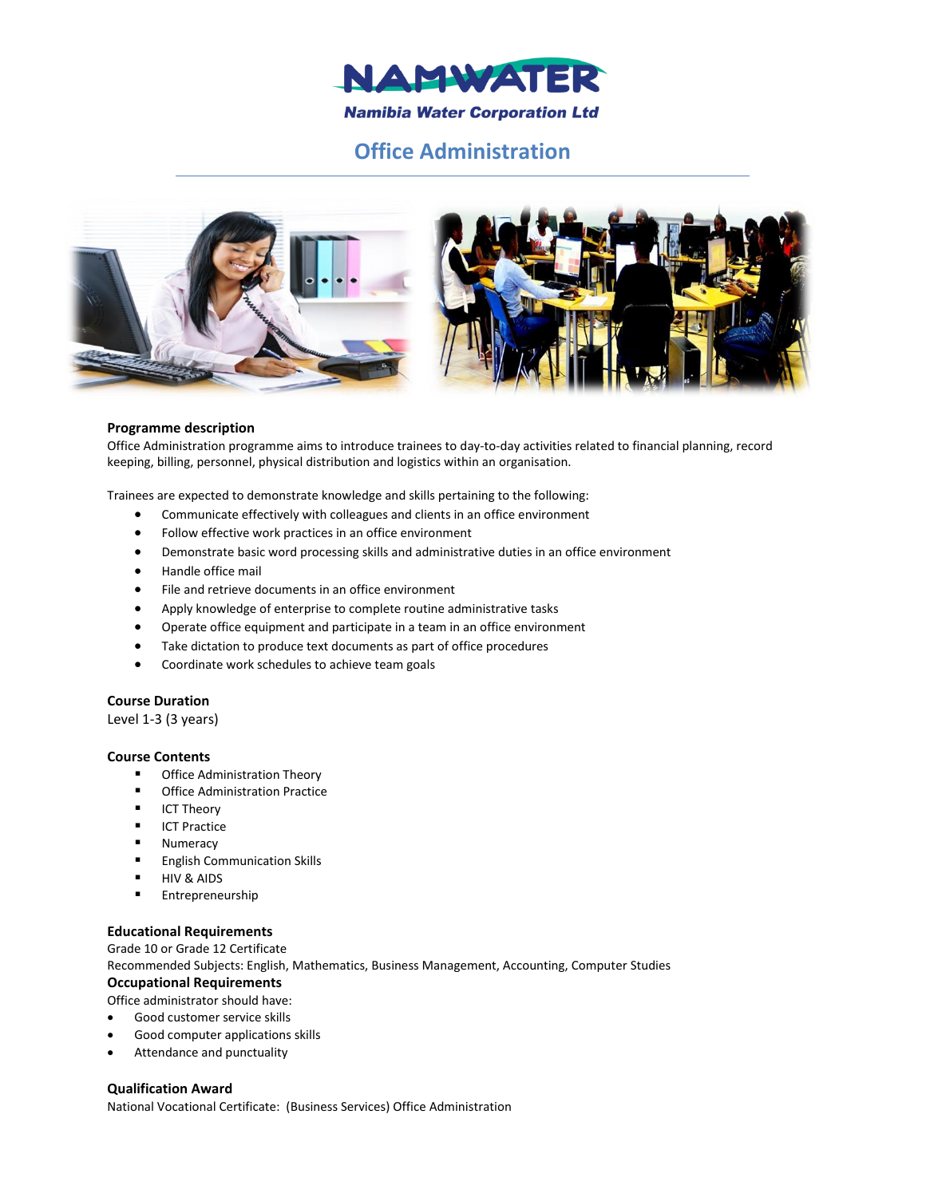

# **Office Administration**



## **Programme description**

Office Administration programme aims to introduce trainees to day-to-day activities related to financial planning, record keeping, billing, personnel, physical distribution and logistics within an organisation.

Trainees are expected to demonstrate knowledge and skills pertaining to the following:

- Communicate effectively with colleagues and clients in an office environment
- Follow effective work practices in an office environment
- Demonstrate basic word processing skills and administrative duties in an office environment
- Handle office mail
- File and retrieve documents in an office environment
- Apply knowledge of enterprise to complete routine administrative tasks
- Operate office equipment and participate in a team in an office environment
- Take dictation to produce text documents as part of office procedures
- Coordinate work schedules to achieve team goals

#### **Course Duration**

Level 1-3 (3 years)

## **Course Contents**

- **•** Office Administration Theory
- Office Administration Practice
- **ICT Theory**
- **ICT Practice**
- Numeracy
- **English Communication Skills**
- **HIV & AIDS**
- **Entrepreneurship**

## **Educational Requirements**

Grade 10 or Grade 12 Certificate Recommended Subjects: English, Mathematics, Business Management, Accounting, Computer Studies

## **Occupational Requirements**

Office administrator should have:

- Good customer service skills
- Good computer applications skills
- Attendance and punctuality

#### **Qualification Award**

National Vocational Certificate: (Business Services) Office Administration